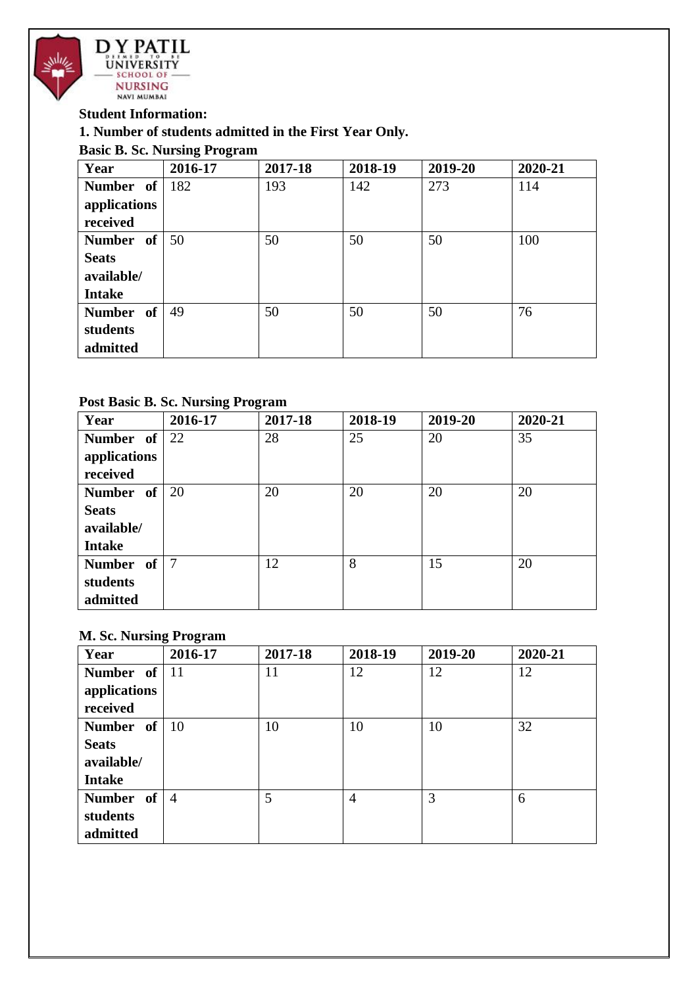

#### **Student Information:**

#### **1. Number of students admitted in the First Year Only.**

#### **Basic B. Sc. Nursing Program**

| Year          | 2016-17 | 2017-18 | 2018-19 | 2019-20 | 2020-21 |
|---------------|---------|---------|---------|---------|---------|
| Number of     | 182     | 193     | 142     | 273     | 114     |
| applications  |         |         |         |         |         |
| received      |         |         |         |         |         |
| Number of     | 50      | 50      | 50      | 50      | 100     |
| <b>Seats</b>  |         |         |         |         |         |
| available/    |         |         |         |         |         |
| <b>Intake</b> |         |         |         |         |         |
| Number of     | 49      | 50      | 50      | 50      | 76      |
| students      |         |         |         |         |         |
| admitted      |         |         |         |         |         |

#### **Post Basic B. Sc. Nursing Program**

| Year          | 2016-17 | 2017-18 | 2018-19 | 2019-20 | 2020-21 |
|---------------|---------|---------|---------|---------|---------|
| Number of     | 22      | 28      | 25      | 20      | 35      |
| applications  |         |         |         |         |         |
| received      |         |         |         |         |         |
| Number of     | 20      | 20      | 20      | 20      | 20      |
| <b>Seats</b>  |         |         |         |         |         |
| available/    |         |         |         |         |         |
| <b>Intake</b> |         |         |         |         |         |
| Number of     | -7      | 12      | 8       | 15      | 20      |
| students      |         |         |         |         |         |
| admitted      |         |         |         |         |         |

#### **M. Sc. Nursing Program**

| Year            | 2016-17        | 2017-18 | 2018-19        | 2019-20 | 2020-21 |
|-----------------|----------------|---------|----------------|---------|---------|
| Number of $ 11$ |                | 11      | 12             | 12      | 12      |
| applications    |                |         |                |         |         |
| received        |                |         |                |         |         |
| Number of       | -10            | 10      | 10             | 10      | 32      |
| <b>Seats</b>    |                |         |                |         |         |
| available/      |                |         |                |         |         |
| <b>Intake</b>   |                |         |                |         |         |
| Number of       | $\overline{4}$ | 5       | $\overline{4}$ | 3       | 6       |
| students        |                |         |                |         |         |
| admitted        |                |         |                |         |         |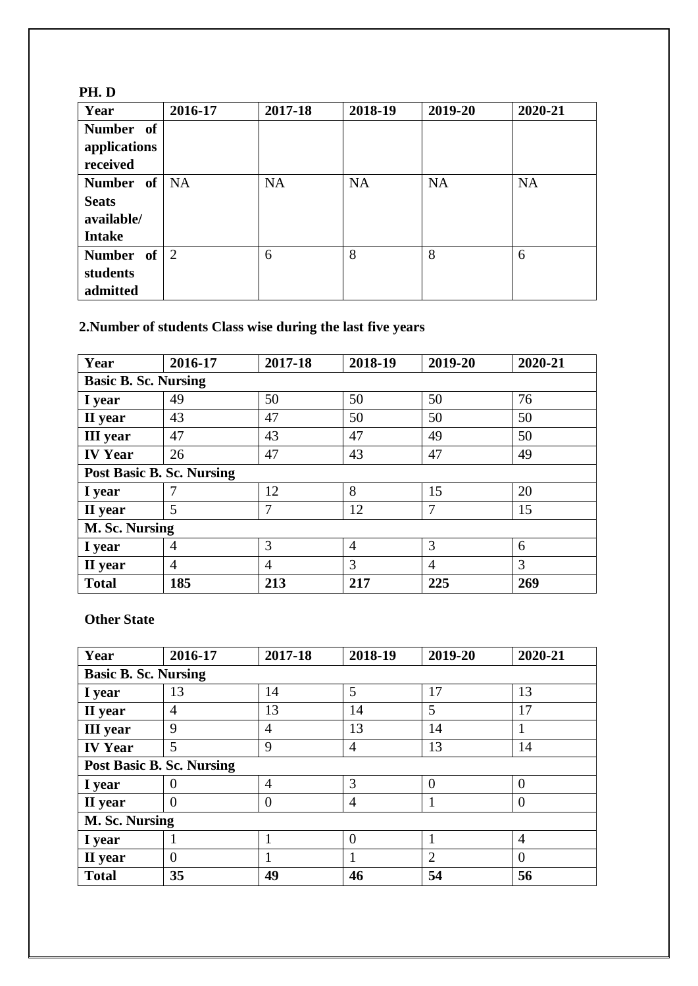| PH.D           |         |           |           |           |           |
|----------------|---------|-----------|-----------|-----------|-----------|
| Year           | 2016-17 | 2017-18   | 2018-19   | 2019-20   | 2020-21   |
| Number of      |         |           |           |           |           |
| applications   |         |           |           |           |           |
| received       |         |           |           |           |           |
| Number of   NA |         | <b>NA</b> | <b>NA</b> | <b>NA</b> | <b>NA</b> |
| <b>Seats</b>   |         |           |           |           |           |
| available/     |         |           |           |           |           |
| <b>Intake</b>  |         |           |           |           |           |
| Number of      | 2       | 6         | 8         | 8         | 6         |
| students       |         |           |           |           |           |
| admitted       |         |           |           |           |           |

# **2.Number of students Class wise during the last five years**

| Year                             | 2016-17        | 2017-18        | 2018-19        | 2019-20        | 2020-21 |  |  |  |
|----------------------------------|----------------|----------------|----------------|----------------|---------|--|--|--|
| <b>Basic B. Sc. Nursing</b>      |                |                |                |                |         |  |  |  |
| I year                           | 49             | 50             | 50             | 50             | 76      |  |  |  |
| II year                          | 43             | 47             | 50             | 50             | 50      |  |  |  |
| <b>III</b> year                  | 47             | 43             | 47             | 49             | 50      |  |  |  |
| <b>IV Year</b>                   | 26             | 47             | 43             | 47             | 49      |  |  |  |
| <b>Post Basic B. Sc. Nursing</b> |                |                |                |                |         |  |  |  |
| I year                           |                | 12             | 8              | 15             | 20      |  |  |  |
| II year                          | 5              | $\overline{7}$ | 12             | 7              | 15      |  |  |  |
| M. Sc. Nursing                   |                |                |                |                |         |  |  |  |
| I year                           | $\overline{4}$ | 3              | $\overline{4}$ | 3              | 6       |  |  |  |
| II year                          | $\overline{4}$ | 4              | 3              | $\overline{A}$ | 3       |  |  |  |
| <b>Total</b>                     | 185            | 213            | 217            | 225            | 269     |  |  |  |

#### **Other State**

| Year                             | 2016-17        | 2017-18        | 2018-19        | 2019-20  | 2020-21        |  |  |  |
|----------------------------------|----------------|----------------|----------------|----------|----------------|--|--|--|
| <b>Basic B. Sc. Nursing</b>      |                |                |                |          |                |  |  |  |
| I year                           | 13             | 14             | 5              | 17       | 13             |  |  |  |
| II year                          | $\overline{4}$ | 13             | 14             | 5        | 17             |  |  |  |
| <b>III</b> year                  | 9              | 4              | 13             | 14       |                |  |  |  |
| <b>IV Year</b>                   | 5              | 9              | $\overline{4}$ | 13       | 14             |  |  |  |
| <b>Post Basic B. Sc. Nursing</b> |                |                |                |          |                |  |  |  |
| I year                           |                | $\overline{4}$ | 3              | $\Omega$ | $\theta$       |  |  |  |
| II year                          | $\Omega$       | $\theta$       | 4              |          | $\overline{0}$ |  |  |  |
| M. Sc. Nursing                   |                |                |                |          |                |  |  |  |
| I year                           |                |                | $\theta$       |          | $\overline{4}$ |  |  |  |
| II year                          | $\Omega$       |                |                | 2        | $\overline{0}$ |  |  |  |
| <b>Total</b>                     | 35             | 49             | 46             | 54       | 56             |  |  |  |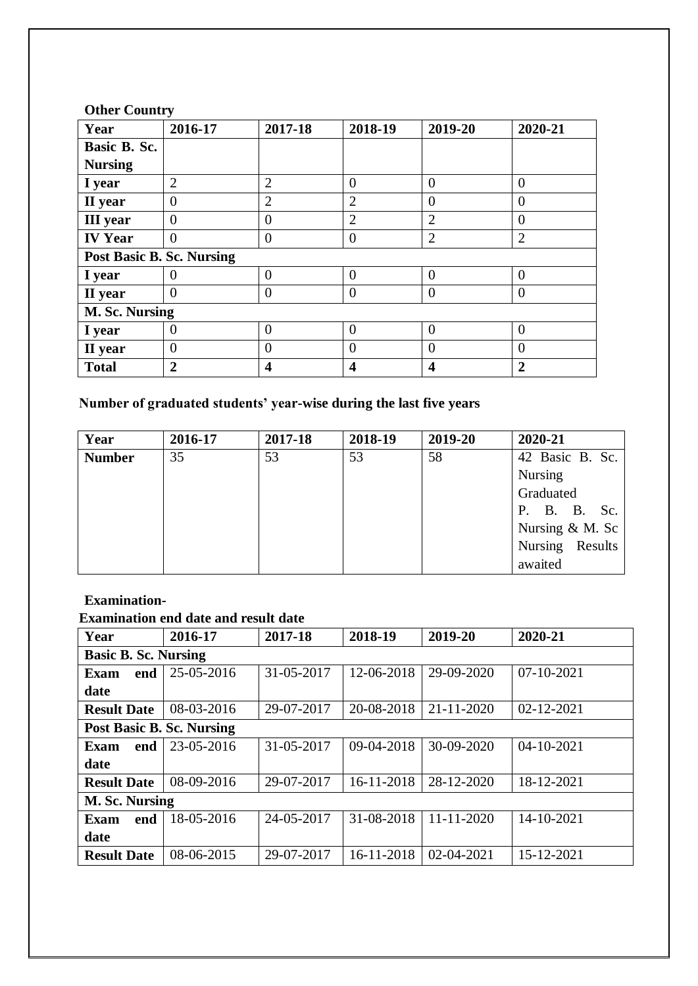| Year                      | 2016-17        | 2017-18          | 2018-19        | 2019-20        | 2020-21        |  |  |
|---------------------------|----------------|------------------|----------------|----------------|----------------|--|--|
| Basic B. Sc.              |                |                  |                |                |                |  |  |
| <b>Nursing</b>            |                |                  |                |                |                |  |  |
| I year                    | $\overline{2}$ | $\overline{2}$   | $\overline{0}$ | $\overline{0}$ | $\overline{0}$ |  |  |
| II year                   | $\overline{0}$ | $\overline{2}$   | $\overline{2}$ | $\theta$       | $\overline{0}$ |  |  |
| <b>III</b> year           | $\theta$       | $\overline{0}$   | $\overline{2}$ | $\overline{2}$ | $\theta$       |  |  |
| <b>IV Year</b>            | $\Omega$       | $\Omega$         | $\theta$       | $\overline{2}$ | $\overline{2}$ |  |  |
| Post Basic B. Sc. Nursing |                |                  |                |                |                |  |  |
| I year                    | $\mathbf{0}$   | $\Omega$         | $\theta$       | $\theta$       | $\Omega$       |  |  |
| II year                   | $\Omega$       | $\theta$         | $\theta$       | $\overline{0}$ | $\theta$       |  |  |
| M. Sc. Nursing            |                |                  |                |                |                |  |  |
| I year                    | $\theta$       | $\theta$         | $\theta$       | $\theta$       | $\theta$       |  |  |
| II year                   | $\Omega$       | $\theta$         | $\overline{0}$ | $\overline{0}$ | $\theta$       |  |  |
| <b>Total</b>              | $\overline{2}$ | $\boldsymbol{4}$ | 4              | 4              | $\overline{2}$ |  |  |

#### **Other Country**

## **Number of graduated students' year-wise during the last five years**

| Year          | 2016-17 | 2017-18 | 2018-19 | 2019-20 | 2020-21                |
|---------------|---------|---------|---------|---------|------------------------|
| <b>Number</b> | 35      | 53      | 53      | 58      | 42 Basic B. Sc.        |
|               |         |         |         |         | Nursing                |
|               |         |         |         |         | Graduated              |
|               |         |         |         |         | <b>B. B.</b> Sc.<br>P. |
|               |         |         |         |         | Nursing $& M.$ Sc      |
|               |         |         |         |         | Nursing Results        |
|               |         |         |         |         | awaited                |

#### **Examination-**

### **Examination end date and result date**

| Year                             | 2016-17    | 2017-18    | 2018-19    | 2019-20          | 2020-21          |  |  |  |  |
|----------------------------------|------------|------------|------------|------------------|------------------|--|--|--|--|
| <b>Basic B. Sc. Nursing</b>      |            |            |            |                  |                  |  |  |  |  |
| end<br>Exam                      | 25-05-2016 | 31-05-2017 | 12-06-2018 | 29-09-2020       | $07 - 10 - 2021$ |  |  |  |  |
| date                             |            |            |            |                  |                  |  |  |  |  |
| <b>Result Date</b>               | 08-03-2016 | 29-07-2017 | 20-08-2018 | $21 - 11 - 2020$ | $02 - 12 - 2021$ |  |  |  |  |
| <b>Post Basic B. Sc. Nursing</b> |            |            |            |                  |                  |  |  |  |  |
| end<br>Exam                      | 23-05-2016 | 31-05-2017 | 09-04-2018 | 30-09-2020       | $04 - 10 - 2021$ |  |  |  |  |
| date                             |            |            |            |                  |                  |  |  |  |  |
| <b>Result Date</b>               | 08-09-2016 | 29-07-2017 | 16-11-2018 | 28-12-2020       | 18-12-2021       |  |  |  |  |
| M. Sc. Nursing                   |            |            |            |                  |                  |  |  |  |  |
| Exam<br>end                      | 18-05-2016 | 24-05-2017 | 31-08-2018 | $11 - 11 - 2020$ | 14-10-2021       |  |  |  |  |
| date                             |            |            |            |                  |                  |  |  |  |  |
| <b>Result Date</b>               | 08-06-2015 | 29-07-2017 | 16-11-2018 | $02 - 04 - 2021$ | 15-12-2021       |  |  |  |  |